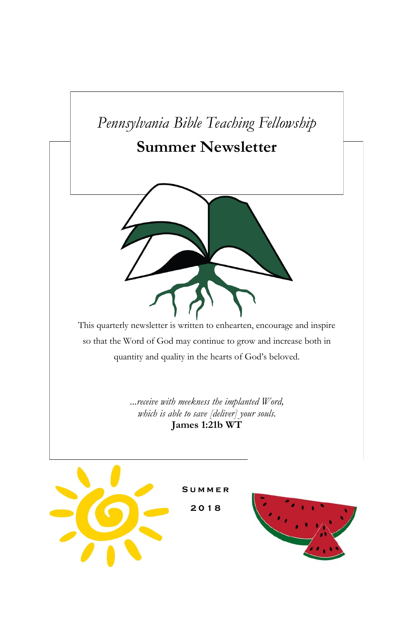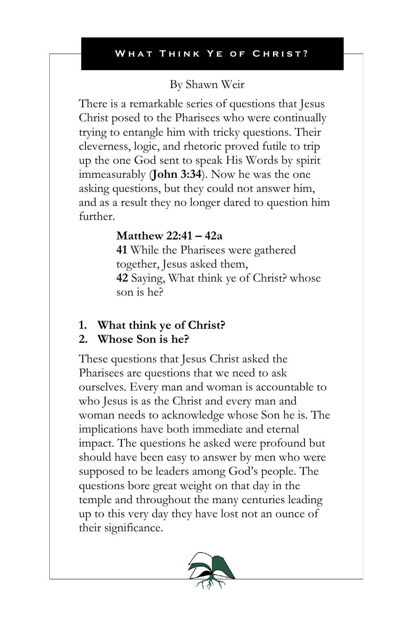## By Shawn Weir

There is a remarkable series of questions that Jesus Christ posed to the Pharisees who were continually trying to entangle him with tricky questions. Their cleverness, logic, and rhetoric proved futile to trip up the one God sent to speak His Words by spirit immeasurably (**John 3:34**). Now he was the one asking questions, but they could not answer him, and as a result they no longer dared to question him further.

## **Matthew 22:41 – 42a**

**41** While the Pharisees were gathered together, Jesus asked them, **42** Saying, What think ye of Christ? whose son is he?

### **1. What think ye of Christ?**

### **2. Whose Son is he?**

These questions that Jesus Christ asked the Pharisees are questions that we need to ask ourselves. Every man and woman is accountable to who Jesus is as the Christ and every man and woman needs to acknowledge whose Son he is. The implications have both immediate and eternal impact. The questions he asked were profound but should have been easy to answer by men who were supposed to be leaders among God's people. The questions bore great weight on that day in the temple and throughout the many centuries leading up to this very day they have lost not an ounce of their significance.

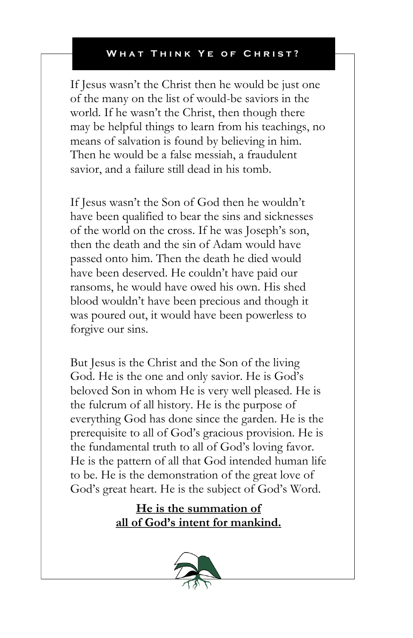If Jesus wasn't the Christ then he would be just one of the many on the list of would-be saviors in the world. If he wasn't the Christ, then though there may be helpful things to learn from his teachings, no means of salvation is found by believing in him. Then he would be a false messiah, a fraudulent savior, and a failure still dead in his tomb.

If Jesus wasn't the Son of God then he wouldn't have been qualified to bear the sins and sicknesses of the world on the cross. If he was Joseph's son, then the death and the sin of Adam would have passed onto him. Then the death he died would have been deserved. He couldn't have paid our ransoms, he would have owed his own. His shed blood wouldn't have been precious and though it was poured out, it would have been powerless to forgive our sins.

But Jesus is the Christ and the Son of the living God. He is the one and only savior. He is God's beloved Son in whom He is very well pleased. He is the fulcrum of all history. He is the purpose of everything God has done since the garden. He is the prerequisite to all of God's gracious provision. He is the fundamental truth to all of God's loving favor. He is the pattern of all that God intended human life to be. He is the demonstration of the great love of God's great heart. He is the subject of God's Word.

> **He is the summation of all of God's intent for mankind.**

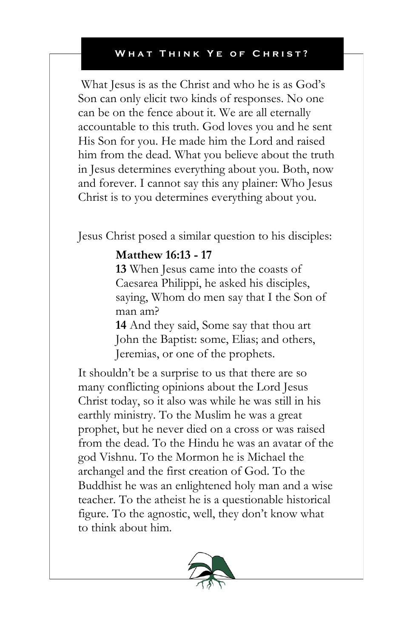What Jesus is as the Christ and who he is as God's Son can only elicit two kinds of responses. No one can be on the fence about it. We are all eternally accountable to this truth. God loves you and he sent His Son for you. He made him the Lord and raised him from the dead. What you believe about the truth in Jesus determines everything about you. Both, now and forever. I cannot say this any plainer: Who Jesus Christ is to you determines everything about you.

Jesus Christ posed a similar question to his disciples:

### **Matthew 16:13 - 17**

**13** When Jesus came into the coasts of Caesarea Philippi, he asked his disciples, saying, Whom do men say that I the Son of man am?

**14** And they said, Some say that thou art John the Baptist: some, Elias; and others, Jeremias, or one of the prophets.

It shouldn't be a surprise to us that there are so many conflicting opinions about the Lord Jesus Christ today, so it also was while he was still in his earthly ministry. To the Muslim he was a great prophet, but he never died on a cross or was raised from the dead. To the Hindu he was an avatar of the god Vishnu. To the Mormon he is Michael the archangel and the first creation of God. To the Buddhist he was an enlightened holy man and a wise teacher. To the atheist he is a questionable historical figure. To the agnostic, well, they don't know what to think about him.

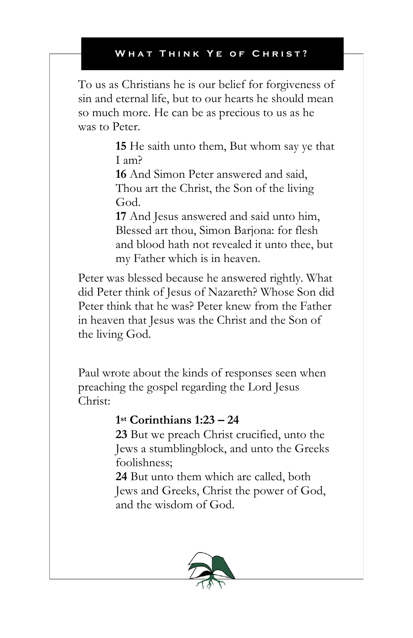To us as Christians he is our belief for forgiveness of sin and eternal life, but to our hearts he should mean so much more. He can be as precious to us as he was to Peter.

> **15** He saith unto them, But whom say ye that I am?

**16** And Simon Peter answered and said, Thou art the Christ, the Son of the living God.

**17** And Jesus answered and said unto him, Blessed art thou, Simon Barjona: for flesh and blood hath not revealed it unto thee, but my Father which is in heaven.

Peter was blessed because he answered rightly. What did Peter think of Jesus of Nazareth? Whose Son did Peter think that he was? Peter knew from the Father in heaven that Jesus was the Christ and the Son of the living God.

Paul wrote about the kinds of responses seen when preaching the gospel regarding the Lord Jesus Christ:

## **1 st Corinthians 1:23 – 24**

**23** But we preach Christ crucified, unto the Jews a stumblingblock, and unto the Greeks foolishness;

**24** But unto them which are called, both Jews and Greeks, Christ the power of God, and the wisdom of God.

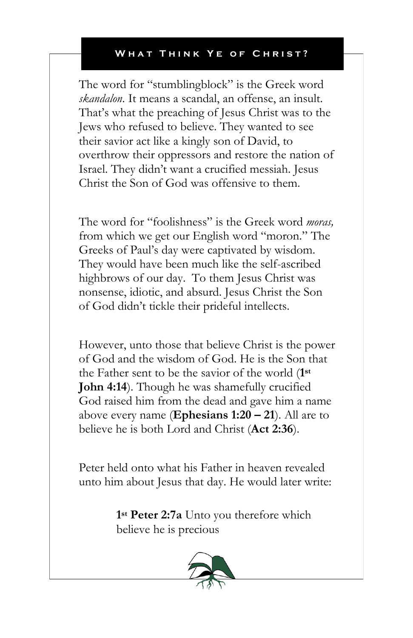The word for "stumblingblock" is the Greek word *skandalon*. It means a scandal, an offense, an insult. That's what the preaching of Jesus Christ was to the Jews who refused to believe. They wanted to see their savior act like a kingly son of David, to overthrow their oppressors and restore the nation of Israel. They didn't want a crucified messiah. Jesus Christ the Son of God was offensive to them.

The word for "foolishness" is the Greek word *moras,* from which we get our English word "moron." The Greeks of Paul's day were captivated by wisdom. They would have been much like the self-ascribed highbrows of our day. To them Jesus Christ was nonsense, idiotic, and absurd. Jesus Christ the Son of God didn't tickle their prideful intellects.

However, unto those that believe Christ is the power of God and the wisdom of God. He is the Son that the Father sent to be the savior of the world (**1 st John 4:14**). Though he was shamefully crucified God raised him from the dead and gave him a name above every name (**Ephesians 1:20 – 21**). All are to believe he is both Lord and Christ (**Act 2:36**).

Peter held onto what his Father in heaven revealed unto him about Jesus that day. He would later write:

> **1 st Peter 2:7a** Unto you therefore which believe he is precious

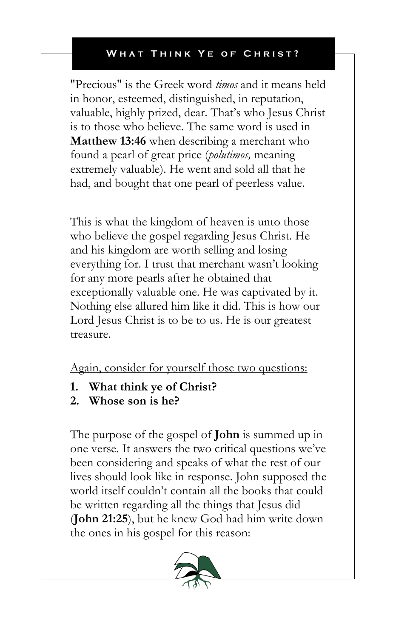"Precious" is the Greek word *timos* and it means held in honor, esteemed, distinguished, in reputation, valuable, highly prized, dear. That's who Jesus Christ is to those who believe. The same word is used in **Matthew 13:46** when describing a merchant who found a pearl of great price (*polutimos,* meaning extremely valuable). He went and sold all that he had, and bought that one pearl of peerless value.

This is what the kingdom of heaven is unto those who believe the gospel regarding Jesus Christ. He and his kingdom are worth selling and losing everything for. I trust that merchant wasn't looking for any more pearls after he obtained that exceptionally valuable one. He was captivated by it. Nothing else allured him like it did. This is how our Lord Jesus Christ is to be to us. He is our greatest treasure.

Again, consider for yourself those two questions:

- **1. What think ye of Christ?**
- **2. Whose son is he?**

The purpose of the gospel of **John** is summed up in one verse. It answers the two critical questions we've been considering and speaks of what the rest of our lives should look like in response. John supposed the world itself couldn't contain all the books that could be written regarding all the things that Jesus did (**John 21:25**), but he knew God had him write down the ones in his gospel for this reason:

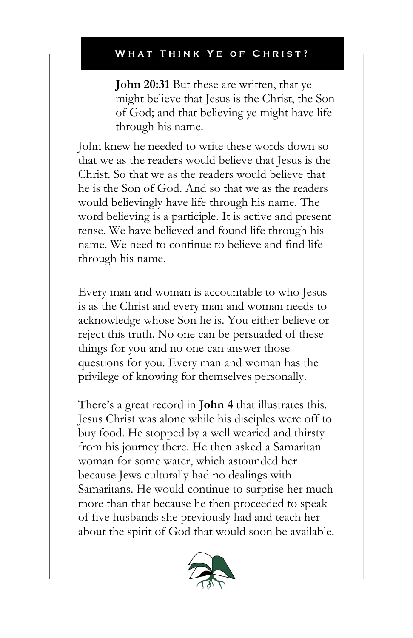**John 20:31** But these are written, that ye might believe that Jesus is the Christ, the Son of God; and that believing ye might have life through his name.

John knew he needed to write these words down so that we as the readers would believe that Jesus is the Christ. So that we as the readers would believe that he is the Son of God. And so that we as the readers would believingly have life through his name. The word believing is a participle. It is active and present tense. We have believed and found life through his name. We need to continue to believe and find life through his name.

Every man and woman is accountable to who Jesus is as the Christ and every man and woman needs to acknowledge whose Son he is. You either believe or reject this truth. No one can be persuaded of these things for you and no one can answer those questions for you. Every man and woman has the privilege of knowing for themselves personally.

There's a great record in **John 4** that illustrates this. Jesus Christ was alone while his disciples were off to buy food. He stopped by a well wearied and thirsty from his journey there. He then asked a Samaritan woman for some water, which astounded her because Jews culturally had no dealings with Samaritans. He would continue to surprise her much more than that because he then proceeded to speak of five husbands she previously had and teach her about the spirit of God that would soon be available.

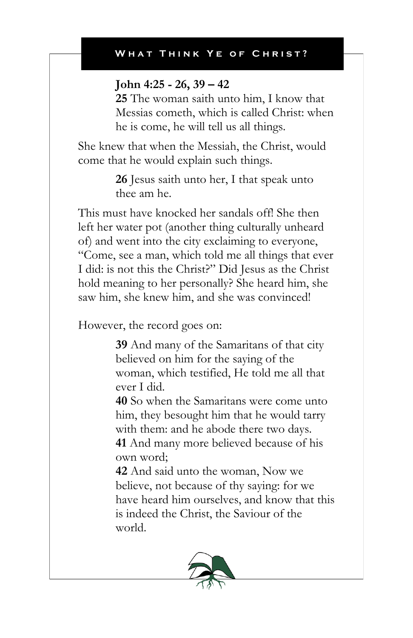### **John 4:25 - 26, 39 – 42**

**25** The woman saith unto him, I know that Messias cometh, which is called Christ: when he is come, he will tell us all things.

She knew that when the Messiah, the Christ, would come that he would explain such things.

> **26** Jesus saith unto her, I that speak unto thee am he.

This must have knocked her sandals off! She then left her water pot (another thing culturally unheard of) and went into the city exclaiming to everyone, "Come, see a man, which told me all things that ever I did: is not this the Christ?" Did Jesus as the Christ hold meaning to her personally? She heard him, she saw him, she knew him, and she was convinced!

However, the record goes on:

**39** And many of the Samaritans of that city believed on him for the saying of the woman, which testified, He told me all that ever I did.

**40** So when the Samaritans were come unto him, they besought him that he would tarry with them: and he abode there two days. **41** And many more believed because of his own word;

**42** And said unto the woman, Now we believe, not because of thy saying: for we have heard him ourselves, and know that this is indeed the Christ, the Saviour of the world.

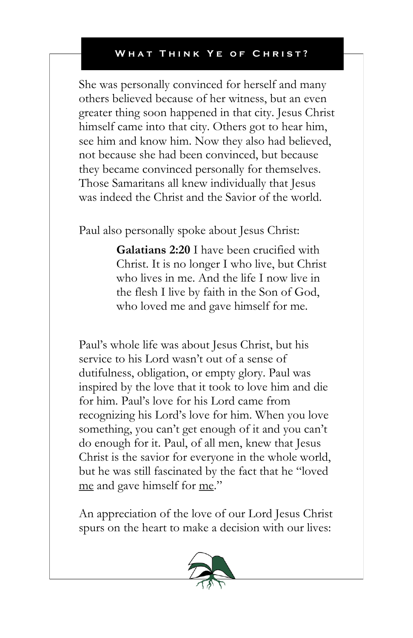She was personally convinced for herself and many others believed because of her witness, but an even greater thing soon happened in that city. Jesus Christ himself came into that city. Others got to hear him, see him and know him. Now they also had believed, not because she had been convinced, but because they became convinced personally for themselves. Those Samaritans all knew individually that Jesus was indeed the Christ and the Savior of the world.

Paul also personally spoke about Jesus Christ:

**Galatians 2:20** I have been crucified with Christ. It is no longer I who live, but Christ who lives in me. And the life I now live in the flesh I live by faith in the Son of God, who loved me and gave himself for me.

Paul's whole life was about Jesus Christ, but his service to his Lord wasn't out of a sense of dutifulness, obligation, or empty glory. Paul was inspired by the love that it took to love him and die for him. Paul's love for his Lord came from recognizing his Lord's love for him. When you love something, you can't get enough of it and you can't do enough for it. Paul, of all men, knew that Jesus Christ is the savior for everyone in the whole world, but he was still fascinated by the fact that he "loved me and gave himself for me."

An appreciation of the love of our Lord Jesus Christ spurs on the heart to make a decision with our lives:

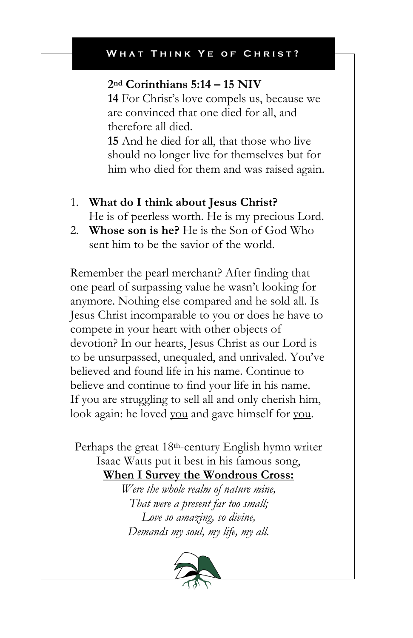## **2nd Corinthians 5:14 – 15 NIV**

**14** For Christ's love compels us, because we are convinced that one died for all, and therefore all died.

**15** And he died for all, that those who live should no longer live for themselves but for him who died for them and was raised again.

- 1. **What do I think about Jesus Christ?** He is of peerless worth. He is my precious Lord.
- 2. **Whose son is he?** He is the Son of God Who sent him to be the savior of the world.

Remember the pearl merchant? After finding that one pearl of surpassing value he wasn't looking for anymore. Nothing else compared and he sold all. Is Jesus Christ incomparable to you or does he have to compete in your heart with other objects of devotion? In our hearts, Jesus Christ as our Lord is to be unsurpassed, unequaled, and unrivaled. You've believed and found life in his name. Continue to believe and continue to find your life in his name. If you are struggling to sell all and only cherish him, look again: he loved you and gave himself for you.

Perhaps the great 18th-century English hymn writer Isaac Watts put it best in his famous song, **When I Survey the Wondrous Cross:**

> *Were the whole realm of nature mine, That were a present far too small; Love so amazing, so divine, Demands my soul, my life, my all.*